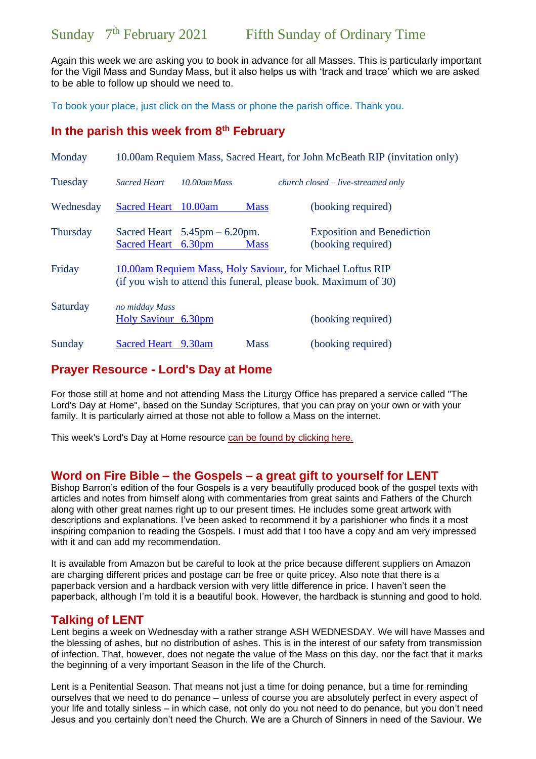Again this week we are asking you to book in advance for all Masses. This is particularly important for the Vigil Mass and Sunday Mass, but it also helps us with 'track and trace' which we are asked to be able to follow up should we need to.

To book your place, just click on the Mass or phone the parish office. Thank you.

## **In the parish this week from 8 th February**

| Monday          | 10.00am Requiem Mass, Sacred Heart, for John McBeath RIP (invitation only)                                                     |                                                  |             |                                                         |
|-----------------|--------------------------------------------------------------------------------------------------------------------------------|--------------------------------------------------|-------------|---------------------------------------------------------|
| Tuesday         | <b>Sacred Heart</b>                                                                                                            | $10.00$ am Mass                                  |             | $church closed-live-streamed only$                      |
| Wednesday       | <b>Sacred Heart</b>                                                                                                            | 10.00am                                          | <b>Mass</b> | (booking required)                                      |
| <b>Thursday</b> | Sacred Heart 6.30pm                                                                                                            | Sacred Heart $5.45 \text{pm} - 6.20 \text{pm}$ . | <b>Mass</b> | <b>Exposition and Benediction</b><br>(booking required) |
| Friday          | 10.00am Requiem Mass, Holy Saviour, for Michael Loftus RIP<br>(if you wish to attend this funeral, please book. Maximum of 30) |                                                  |             |                                                         |
| Saturday        | no midday Mass<br>Holy Saviour 6.30pm                                                                                          |                                                  |             | (booking required)                                      |
| Sunday          | <b>Sacred Heart</b>                                                                                                            | 9.30am                                           | <b>Mass</b> | (booking required)                                      |

## **Prayer Resource - Lord's Day at Home**

For those still at home and not attending Mass the Liturgy Office has prepared a service called "The Lord's Day at Home", based on the Sunday Scriptures, that you can pray on your own or with your family. It is particularly aimed at those not able to follow a Mass on the internet.

This week's Lord's Day at Home resource [can be found by clicking here.](https://gbr01.safelinks.protection.outlook.com/?url=https%3A%2F%2Fdioceseofsalford.us6.list-manage.com%2Ftrack%2Fclick%3Fu%3D76e219dab8653b775ba8aac4c%26id%3D4b2819dc48%26e%3D5ce69633f0&data=04%7C01%7Cpeter.wilkinson%40dioceseofsalford.org.uk%7C72c6e23f260b46b86c4d08d8c82645ba%7C699a61ae142a45a090c604b2f08de19b%7C0%7C0%7C637479414347992460%7CUnknown%7CTWFpbGZsb3d8eyJWIjoiMC4wLjAwMDAiLCJQIjoiV2luMzIiLCJBTiI6Ik1haWwiLCJXVCI6Mn0%3D%7C1000&sdata=vCk9499D198gf154dsXkf14bfsiBxNIEe7Cyd17C06o%3D&reserved=0)

## **Word on Fire Bible – the Gospels – a great gift to yourself for LENT**

Bishop Barron's edition of the four Gospels is a very beautifully produced book of the gospel texts with articles and notes from himself along with commentaries from great saints and Fathers of the Church along with other great names right up to our present times. He includes some great artwork with descriptions and explanations. I've been asked to recommend it by a parishioner who finds it a most inspiring companion to reading the Gospels. I must add that I too have a copy and am very impressed with it and can add my recommendation.

It is available from Amazon but be careful to look at the price because different suppliers on Amazon are charging different prices and postage can be free or quite pricey. Also note that there is a paperback version and a hardback version with very little difference in price. I haven't seen the paperback, although I'm told it is a beautiful book. However, the hardback is stunning and good to hold.

## **Talking of LENT**

Lent begins a week on Wednesday with a rather strange ASH WEDNESDAY. We will have Masses and the blessing of ashes, but no distribution of ashes. This is in the interest of our safety from transmission of infection. That, however, does not negate the value of the Mass on this day, nor the fact that it marks the beginning of a very important Season in the life of the Church.

Lent is a Penitential Season. That means not just a time for doing penance, but a time for reminding ourselves that we need to do penance – unless of course you are absolutely perfect in every aspect of your life and totally sinless – in which case, not only do you not need to do penance, but you don't need Jesus and you certainly don't need the Church. We are a Church of Sinners in need of the Saviour. We